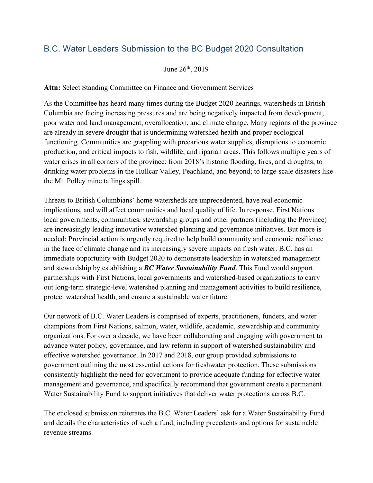## B.C. Water Leaders Submission to the BC Budget 2020 Consultation

June 26th, 2019

**Attn:** Select Standing Committee on Finance and Government Services

As the Committee has heard many times during the Budget 2020 hearings, watersheds in British Columbia are facing increasing pressures and are being negatively impacted from development, poor water and land management, overallocation, and climate change. Many regions of the province are already in severe drought that is undermining watershed health and proper ecological functioning. Communities are grappling with precarious water supplies, disruptions to economic production, and critical impacts to fish, wildlife, and riparian areas. This follows multiple years of water crises in all corners of the province: from 2018's historic flooding, fires, and droughts; to drinking water problems in the Hullcar Valley, Peachland, and beyond; to large-scale disasters like the Mt. Polley mine tailings spill.

Threats to British Columbians' home watersheds are unprecedented, have real economic implications, and will affect communities and local quality of life. In response, First Nations local governments, communities, stewardship groups and other partners (including the Province) are increasingly leading innovative watershed planning and governance initiatives. But more is needed: Provincial action is urgently required to help build community and economic resilience in the face of climate change and its increasingly severe impacts on fresh water. B.C. has an immediate opportunity with Budget 2020 to demonstrate leadership in watershed management and stewardship by establishing a *BC Water Sustainability Fund*. This Fund would support partnerships with First Nations, local governments and watershed-based organizations to carry out long-term strategic-level watershed planning and management activities to build resilience, protect watershed health, and ensure a sustainable water future.

Our network of B.C. Water Leaders is comprised of experts, practitioners, funders, and water champions from First Nations, salmon, water, wildlife, academic, stewardship and community organizations. For over a decade, we have been collaborating and engaging with government to advance water policy, governance, and law reform in support of watershed sustainability and effective watershed governance. In 2017 and 2018, our group provided submissions to government outlining the most essential actions for freshwater protection. These submissions consistently highlight the need for government to provide adequate funding for effective water management and governance, and specifically recommend that government create a permanent Water Sustainability Fund to support initiatives that deliver water protections across B.C.

The enclosed submission reiterates the B.C. Water Leaders' ask for a Water Sustainability Fund and details the characteristics of such a fund, including precedents and options for sustainable revenue streams.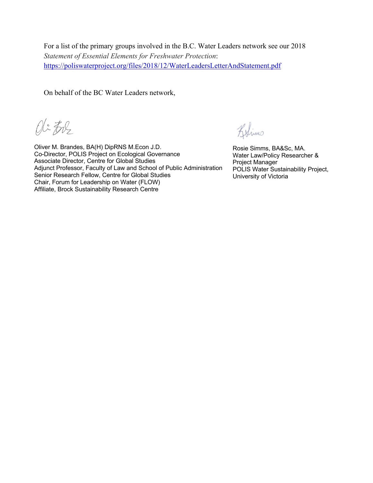For a list of the primary groups involved in the B.C. Water Leaders network see our 2018 *Statement of Essential Elements for Freshwater Protection*: https://poliswaterproject.org/files/2018/12/WaterLeadersLetterAndStatement.pdf

On behalf of the BC Water Leaders network,

Oli Ere

Oliver M. Brandes, BA(H) DipRNS M.Econ J.D. Co-Director, POLIS Project on Ecological Governance Associate Director, Centre for Global Studies Adjunct Professor, Faculty of Law and School of Public Administration Senior Research Fellow, Centre for Global Studies Chair, Forum for Leadership on Water (FLOW) Affiliate, Brock Sustainability Research Centre

Belimo

Rosie Simms, BA&Sc, MA. Water Law/Policy Researcher & Project Manager POLIS Water Sustainability Project, University of Victoria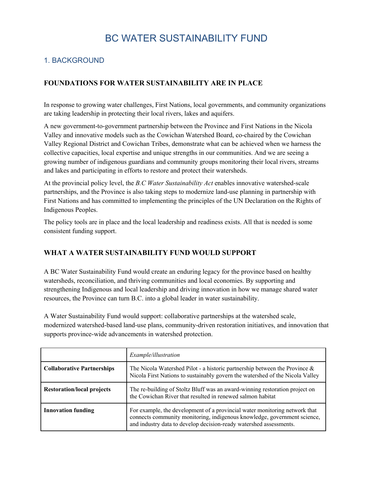# BC WATER SUSTAINABILITY FUND

## 1. BACKGROUND

#### **FOUNDATIONS FOR WATER SUSTAINABILITY ARE IN PLACE**

In response to growing water challenges, First Nations, local governments, and community organizations are taking leadership in protecting their local rivers, lakes and aquifers.

A new government-to-government partnership between the Province and First Nations in the Nicola Valley and innovative models such as the Cowichan Watershed Board, co-chaired by the Cowichan Valley Regional District and Cowichan Tribes, demonstrate what can be achieved when we harness the collective capacities, local expertise and unique strengths in our communities. And we are seeing a growing number of indigenous guardians and community groups monitoring their local rivers, streams and lakes and participating in efforts to restore and protect their watersheds.

At the provincial policy level, the *B.C Water Sustainability Act* enables innovative watershed-scale partnerships, and the Province is also taking steps to modernize land-use planning in partnership with First Nations and has committed to implementing the principles of the UN Declaration on the Rights of Indigenous Peoples.

The policy tools are in place and the local leadership and readiness exists. All that is needed is some consistent funding support.

#### **WHAT A WATER SUSTAINABILITY FUND WOULD SUPPORT**

A BC Water Sustainability Fund would create an enduring legacy for the province based on healthy watersheds, reconciliation, and thriving communities and local economies. By supporting and strengthening Indigenous and local leadership and driving innovation in how we manage shared water resources, the Province can turn B.C. into a global leader in water sustainability.

A Water Sustainability Fund would support: collaborative partnerships at the watershed scale, modernized watershed-based land-use plans, community-driven restoration initiatives, and innovation that supports province-wide advancements in watershed protection.

|                                   | <i>Example/illustration</i>                                                                                                                                                                                                  |
|-----------------------------------|------------------------------------------------------------------------------------------------------------------------------------------------------------------------------------------------------------------------------|
| <b>Collaborative Partnerships</b> | The Nicola Watershed Pilot - a historic partnership between the Province $\&$<br>Nicola First Nations to sustainably govern the watershed of the Nicola Valley                                                               |
| <b>Restoration/local projects</b> | The re-building of Stoltz Bluff was an award-winning restoration project on<br>the Cowichan River that resulted in renewed salmon habitat                                                                                    |
| <b>Innovation funding</b>         | For example, the development of a provincial water monitoring network that<br>connects community monitoring, indigenous knowledge, government science,<br>and industry data to develop decision-ready watershed assessments. |